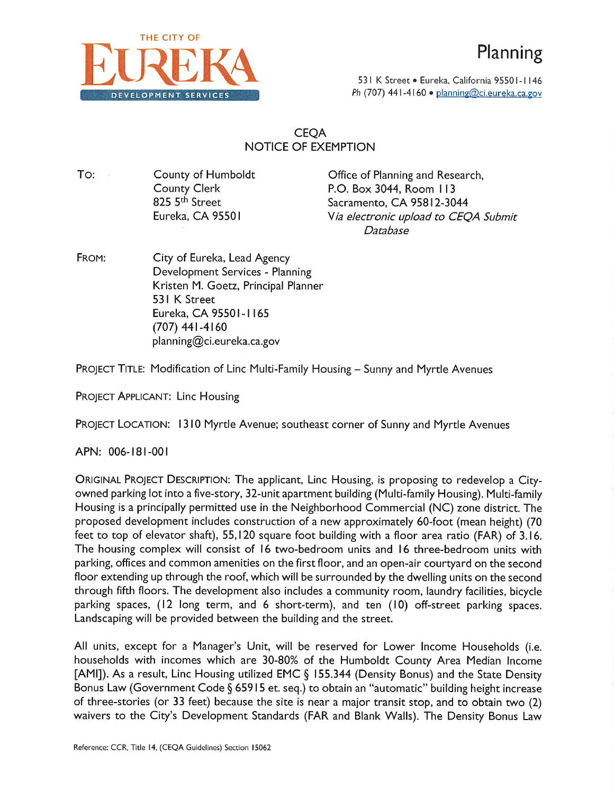

53 | K Street · Eureka, California 9550 | - | | 46 **DEVELOPMENT SERVICES** 2008 Ph (707) 441-4160 • planning@ci.eureka.ca.gov

## CEQA NOTICE OF EXEMPTION

TO: County of Humboldt County Clerk 825 5<sup>th</sup> Street Eureka, CA 95501

Office of Planning and Research, P.O. Box 3044, Room I <sup>13</sup> Sacramento, CA 95812-3044 *Via electronic upload to CEQA Submit Database*

FROM: City of Eureka, Lead Agency Development Services - Planning Kristen M. Goetz, Principal Planner 53 I K Street Eureka, CA 95501-1165 (707) 441-4160 planning@ci.eureka.ca.gov

PROJECT TITLE: Modification of Linc Multi-Family Housing - Sunny and Myrtle Avenues

PROJECT APPLICANT: Line Housing

PROJECT LOCATION: <sup>1310</sup> Myrtle Avenue; southeast corner of Sunny and Myrtle Avenues

APN: 006- 181-001

ORIGINAL PROJECT DESCRIPTION: The applicant, Line Housing, is proposing to redevelop <sup>a</sup> Cityowned parking lot into <sup>a</sup> five-story, 32-unit apartment building (Multi-family Housing). Multi-family Housing is a principally permitted use in the Neighborhood Commercial (NC) zone district. The proposed development includes construction of a new approximately 60-foot (mean height) (70 feet to top of elevator shaft), 55,120 square foot building with <sup>a</sup> floor area ratio (FAR) of 3.16. The housing complex will consist of 16 two-bedroom units and 16 three-bedroom units with parking, offices and common amenities on the first floor, and an open-air courtyard on the second floor extending up through the roof, which will be surrounded by the dwelling units on the second through fifth floors. The development also includes <sup>a</sup> community room, laundry facilities, bicycle parking spaces, (12 long term, and 6 short-term), and ten (10) off-street parking spaces. Landscaping will be provided between the building and the street.

All units, except for <sup>a</sup> Manager's Unit, will be reserved for Lower Income Households (i.e. households with incomes which are 30-80% of the Humboldt County Area Median Income [AMI]). As a result, Linc Housing utilized EMC § 155.344 (Density Bonus) and the State Density Bonus Law (Government Code § <sup>65915</sup> et. seq.) to obtain an "automatic" building height increase of three-stories (or 33 feet) because the site is near <sup>a</sup> major transit stop, and to obtain two (2) waivers to the City's Development Standards (FAR and Blank Walls). The Density Bonus Law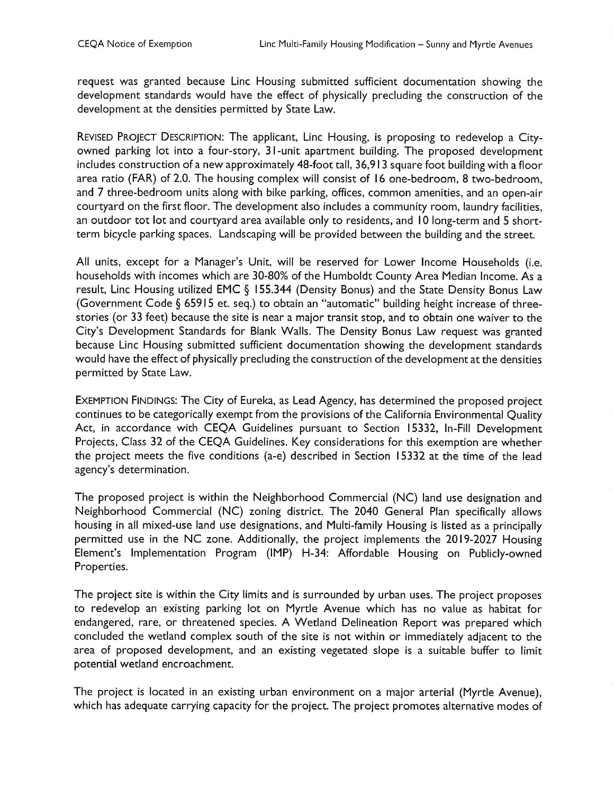request was granted because Line Housing submitted sufficient documentation showing the development standards would have the effect of physically precluding the construction of the development at the densities permitted by State Law.

REVISED PROJECT DESCRIPTION: The applicant, Line Housing, is proposing to redevelop <sup>a</sup> Cityowned parking lot into <sup>a</sup> four-story, <sup>3</sup> I-unit apartment building. The proposed development includes construction of <sup>a</sup> new approximately 48-foot tall, 36,913 square foot building with <sup>a</sup> floor area ratio (FAR) of 2.0. The housing complex will consist of <sup>16</sup> one-bedroom, <sup>8</sup> two-bedroom, and 7 three-bedroom units along with bike parking, offices, common amenities, and an open-air courtyard on the first floor. The development also includes <sup>a</sup> community room, laundry facilities, an outdoor tot lot and courtyard area available only to residents, and <sup>10</sup> long-term and <sup>5</sup> shortterm bicycle parking spaces. Landscaping will be provided between the building and the street.

All units, except for <sup>a</sup> Manager's Unit, will be reserved for Lower Income Households (i.e. households with incomes which are 30-80% of the Humboldt County Area Median Income. As <sup>a</sup> result, Line Housing utilized EMC § 155.344 (Density Bonus) and the State Density Bonus Law (Government Code § <sup>65915</sup> et. seq.) to obtain an "automatic" building height increase of threestories (or 33 feet) because the site is near <sup>a</sup> major transit stop, and to obtain one waiver to the City's Development Standards for Blank Walls. The Density Bonus Law request was granted because Line Housing submitted sufficient documentation showing the development standards would have the effect of physically precluding the construction of the development at the densities permitted by State Law.

EXEMPTION FINDINGS: The City of Eureka, as Lead Agency, has determined the proposed project continues to be categorically exempt from the provisions of the California Environmental Quality Act, in accordance with CEQA Guidelines pursuant to Section 15332, In-Fill Development Projects, Class 32 of the CEQA Guidelines. Key considerations for this exemption are whether the project meets the five conditions (a-e) described in Section 15332 at the time of the lead agency's determination.

The proposed project is within the Neighborhood Commercial (NC) land use designation and Neighborhood Commercial (NC) zoning district. The 2040 General Plan specifically allows housing in all mixed-use land use designations, and Multi-family Housing is listed as <sup>a</sup> principally permitted use in the NC zone. Additionally, the project implements the 2019-2027 Housing Element's Implementation Program (IMP) H-34: Affordable Housing on Publicly-owned Properties.

The project site is within the City limits and is surrounded by urban uses. The project proposes to redevelop an existing parking lot on Myrtle Avenue which has no value as habitat for endangered, rare, or threatened species. A Wetland Delineation Report was prepared which concluded the wetland complex south of the site is not within or immediately adjacent to the area of proposed development, and an existing vegetated slope is <sup>a</sup> suitable buffer to limit potential wetland encroachment.

The project is located in an existing urban environment on <sup>a</sup> major arterial (Myrtle Avenue), which has adequate carrying capacity for the project. The project promotes alternative modes of